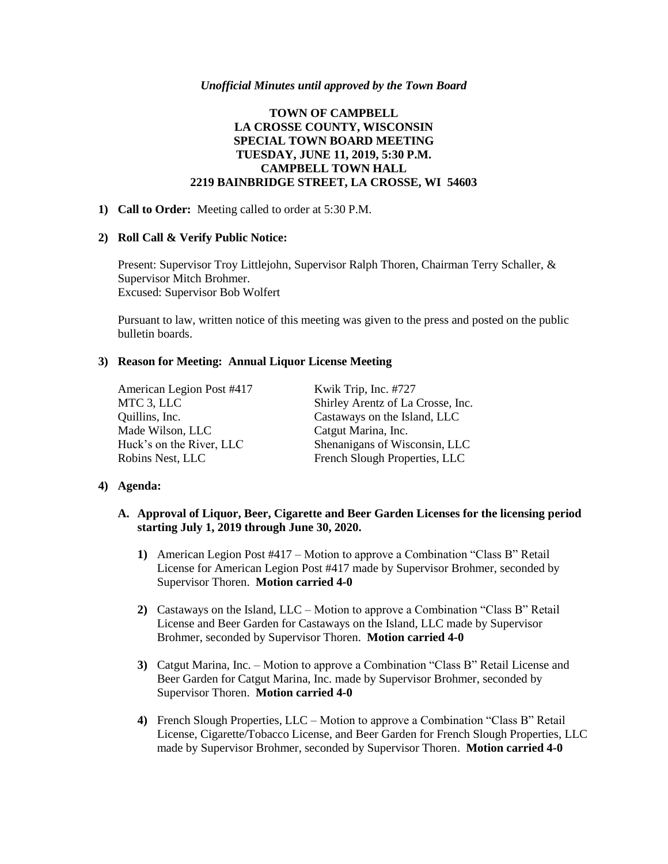#### *Unofficial Minutes until approved by the Town Board*

# **TOWN OF CAMPBELL LA CROSSE COUNTY, WISCONSIN SPECIAL TOWN BOARD MEETING TUESDAY, JUNE 11, 2019, 5:30 P.M. CAMPBELL TOWN HALL 2219 BAINBRIDGE STREET, LA CROSSE, WI 54603**

#### **1) Call to Order:** Meeting called to order at 5:30 P.M.

#### **2) Roll Call & Verify Public Notice:**

Present: Supervisor Troy Littlejohn, Supervisor Ralph Thoren, Chairman Terry Schaller, & Supervisor Mitch Brohmer. Excused: Supervisor Bob Wolfert

Pursuant to law, written notice of this meeting was given to the press and posted on the public bulletin boards.

### **3) Reason for Meeting: Annual Liquor License Meeting**

| American Legion Post #417 | Kwik Trip, Inc. #727              |
|---------------------------|-----------------------------------|
| MTC 3, LLC                | Shirley Arentz of La Crosse, Inc. |
| Quillins, Inc.            | Castaways on the Island, LLC      |
| Made Wilson, LLC          | Catgut Marina, Inc.               |
| Huck's on the River, LLC  | Shenanigans of Wisconsin, LLC     |
| Robins Nest, LLC          | French Slough Properties, LLC     |

### **4) Agenda:**

- **A. Approval of Liquor, Beer, Cigarette and Beer Garden Licenses for the licensing period starting July 1, 2019 through June 30, 2020.**
	- **1)** American Legion Post #417 Motion to approve a Combination "Class B" Retail License for American Legion Post #417 made by Supervisor Brohmer, seconded by Supervisor Thoren. **Motion carried 4-0**
	- **2)** Castaways on the Island, LLC Motion to approve a Combination "Class B" Retail License and Beer Garden for Castaways on the Island, LLC made by Supervisor Brohmer, seconded by Supervisor Thoren. **Motion carried 4-0**
	- **3)** Catgut Marina, Inc. Motion to approve a Combination "Class B" Retail License and Beer Garden for Catgut Marina, Inc. made by Supervisor Brohmer, seconded by Supervisor Thoren. **Motion carried 4-0**
	- **4)** French Slough Properties, LLC Motion to approve a Combination "Class B" Retail License, Cigarette/Tobacco License, and Beer Garden for French Slough Properties, LLC made by Supervisor Brohmer, seconded by Supervisor Thoren. **Motion carried 4-0**